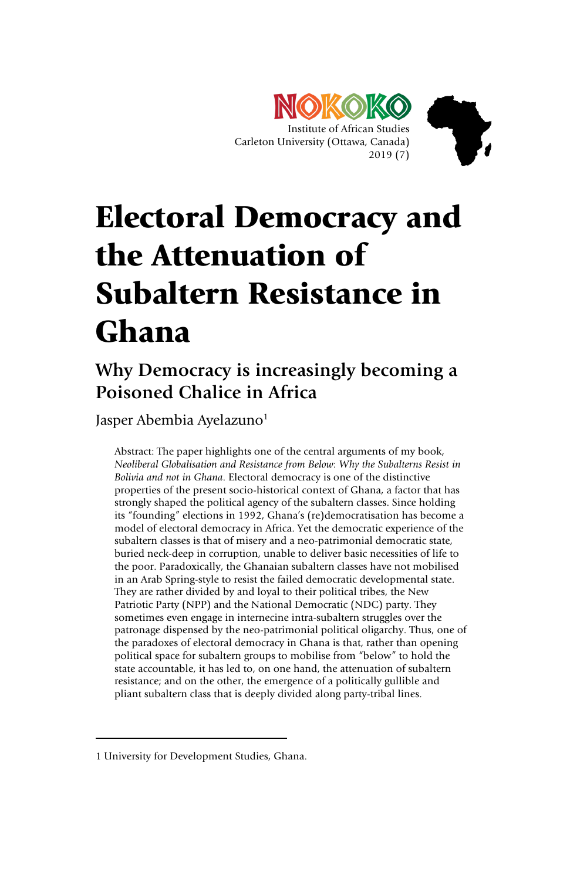

# Electoral Democracy and the Attenuation of Subaltern Resistance in Ghana

## **Why Democracy is increasingly becoming a Poisoned Chalice in Africa**

Jasper Abembia Ayelazuno<sup>1</sup>

Abstract: The paper highlights one of the central arguments of my book, *Neoliberal Globalisation and Resistance from Below*: *Why the Subalterns Resist in Bolivia and not in Ghana*. Electoral democracy is one of the distinctive properties of the present socio-historical context of Ghana, a factor that has strongly shaped the political agency of the subaltern classes. Since holding its "founding" elections in 1992, Ghana's (re)democratisation has become a model of electoral democracy in Africa. Yet the democratic experience of the subaltern classes is that of misery and a neo-patrimonial democratic state, buried neck-deep in corruption, unable to deliver basic necessities of life to the poor. Paradoxically, the Ghanaian subaltern classes have not mobilised in an Arab Spring-style to resist the failed democratic developmental state. They are rather divided by and loyal to their political tribes, the New Patriotic Party (NPP) and the National Democratic (NDC) party. They sometimes even engage in internecine intra-subaltern struggles over the patronage dispensed by the neo-patrimonial political oligarchy. Thus, one of the paradoxes of electoral democracy in Ghana is that, rather than opening political space for subaltern groups to mobilise from "below" to hold the state accountable, it has led to, on one hand, the attenuation of subaltern resistance; and on the other, the emergence of a politically gullible and pliant subaltern class that is deeply divided along party-tribal lines.

-

<sup>1</sup> University for Development Studies, Ghana.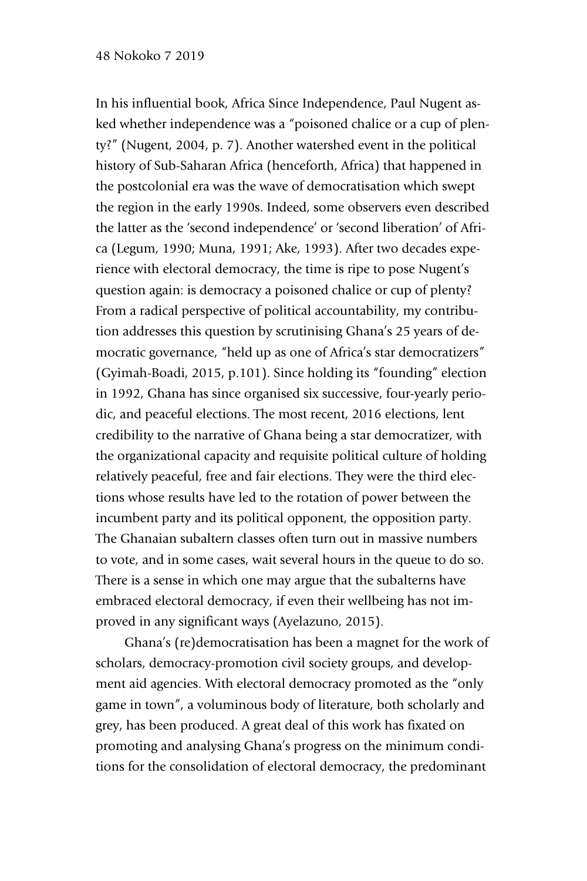#### 48 Nokoko 7 2019

In his influential book, Africa Since Independence, Paul Nugent asked whether independence was a "poisoned chalice or a cup of plenty?" (Nugent, 2004, p. 7). Another watershed event in the political history of Sub-Saharan Africa (henceforth, Africa) that happened in the postcolonial era was the wave of democratisation which swept the region in the early 1990s. Indeed, some observers even described the latter as the 'second independence' or 'second liberation' of Africa (Legum, 1990; Muna, 1991; Ake, 1993). After two decades experience with electoral democracy, the time is ripe to pose Nugent's question again: is democracy a poisoned chalice or cup of plenty? From a radical perspective of political accountability, my contribution addresses this question by scrutinising Ghana's 25 years of democratic governance, "held up as one of Africa's star democratizers" (Gyimah-Boadi, 2015, p.101). Since holding its "founding" election in 1992, Ghana has since organised six successive, four-yearly periodic, and peaceful elections. The most recent, 2016 elections, lent credibility to the narrative of Ghana being a star democratizer, with the organizational capacity and requisite political culture of holding relatively peaceful, free and fair elections. They were the third elections whose results have led to the rotation of power between the incumbent party and its political opponent, the opposition party. The Ghanaian subaltern classes often turn out in massive numbers to vote, and in some cases, wait several hours in the queue to do so. There is a sense in which one may argue that the subalterns have embraced electoral democracy, if even their wellbeing has not improved in any significant ways (Ayelazuno, 2015).

Ghana's (re)democratisation has been a magnet for the work of scholars, democracy-promotion civil society groups, and development aid agencies. With electoral democracy promoted as the "only game in town", a voluminous body of literature, both scholarly and grey, has been produced. A great deal of this work has fixated on promoting and analysing Ghana's progress on the minimum conditions for the consolidation of electoral democracy, the predominant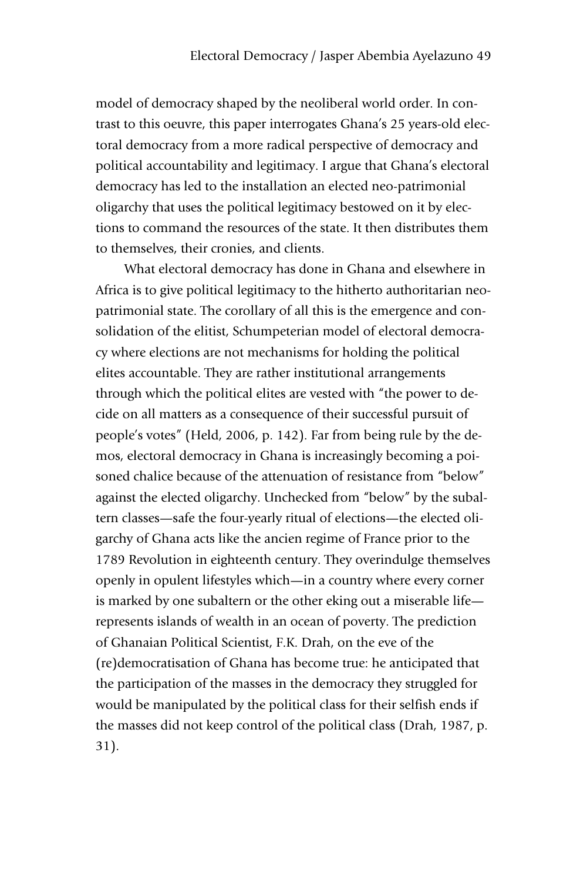model of democracy shaped by the neoliberal world order. In contrast to this oeuvre, this paper interrogates Ghana's 25 years-old electoral democracy from a more radical perspective of democracy and political accountability and legitimacy. I argue that Ghana's electoral democracy has led to the installation an elected neo-patrimonial oligarchy that uses the political legitimacy bestowed on it by elections to command the resources of the state. It then distributes them to themselves, their cronies, and clients.

What electoral democracy has done in Ghana and elsewhere in Africa is to give political legitimacy to the hitherto authoritarian neopatrimonial state. The corollary of all this is the emergence and consolidation of the elitist, Schumpeterian model of electoral democracy where elections are not mechanisms for holding the political elites accountable. They are rather institutional arrangements through which the political elites are vested with "the power to decide on all matters as a consequence of their successful pursuit of people's votes" (Held, 2006, p. 142). Far from being rule by the demos, electoral democracy in Ghana is increasingly becoming a poisoned chalice because of the attenuation of resistance from "below" against the elected oligarchy. Unchecked from "below" by the subaltern classes—safe the four-yearly ritual of elections—the elected oligarchy of Ghana acts like the ancien regime of France prior to the 1789 Revolution in eighteenth century. They overindulge themselves openly in opulent lifestyles which—in a country where every corner is marked by one subaltern or the other eking out a miserable life represents islands of wealth in an ocean of poverty. The prediction of Ghanaian Political Scientist, F.K. Drah, on the eve of the (re)democratisation of Ghana has become true: he anticipated that the participation of the masses in the democracy they struggled for would be manipulated by the political class for their selfish ends if the masses did not keep control of the political class (Drah, 1987, p. 31).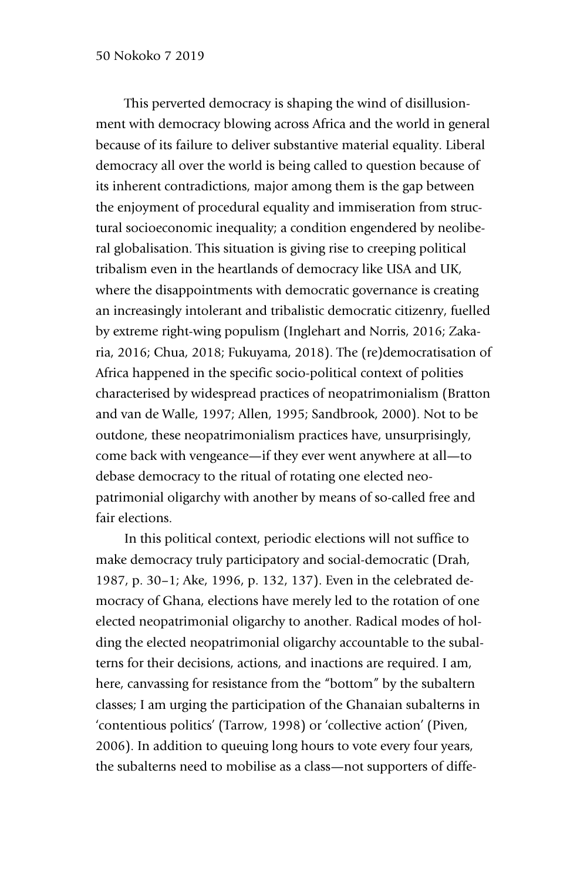This perverted democracy is shaping the wind of disillusionment with democracy blowing across Africa and the world in general because of its failure to deliver substantive material equality. Liberal democracy all over the world is being called to question because of its inherent contradictions, major among them is the gap between the enjoyment of procedural equality and immiseration from structural socioeconomic inequality; a condition engendered by neoliberal globalisation. This situation is giving rise to creeping political tribalism even in the heartlands of democracy like USA and UK, where the disappointments with democratic governance is creating an increasingly intolerant and tribalistic democratic citizenry, fuelled by extreme right-wing populism (Inglehart and Norris, 2016; Zakaria, 2016; Chua, 2018; Fukuyama, 2018). The (re)democratisation of Africa happened in the specific socio-political context of polities characterised by widespread practices of neopatrimonialism (Bratton and van de Walle, 1997; Allen, 1995; Sandbrook, 2000). Not to be outdone, these neopatrimonialism practices have, unsurprisingly, come back with vengeance—if they ever went anywhere at all—to debase democracy to the ritual of rotating one elected neopatrimonial oligarchy with another by means of so-called free and fair elections.

In this political context, periodic elections will not suffice to make democracy truly participatory and social-democratic (Drah, 1987, p. 30–1; Ake, 1996, p. 132, 137). Even in the celebrated democracy of Ghana, elections have merely led to the rotation of one elected neopatrimonial oligarchy to another. Radical modes of holding the elected neopatrimonial oligarchy accountable to the subalterns for their decisions, actions, and inactions are required. I am, here, canvassing for resistance from the "bottom" by the subaltern classes; I am urging the participation of the Ghanaian subalterns in 'contentious politics' (Tarrow, 1998) or 'collective action' (Piven, 2006). In addition to queuing long hours to vote every four years, the subalterns need to mobilise as a class—not supporters of diffe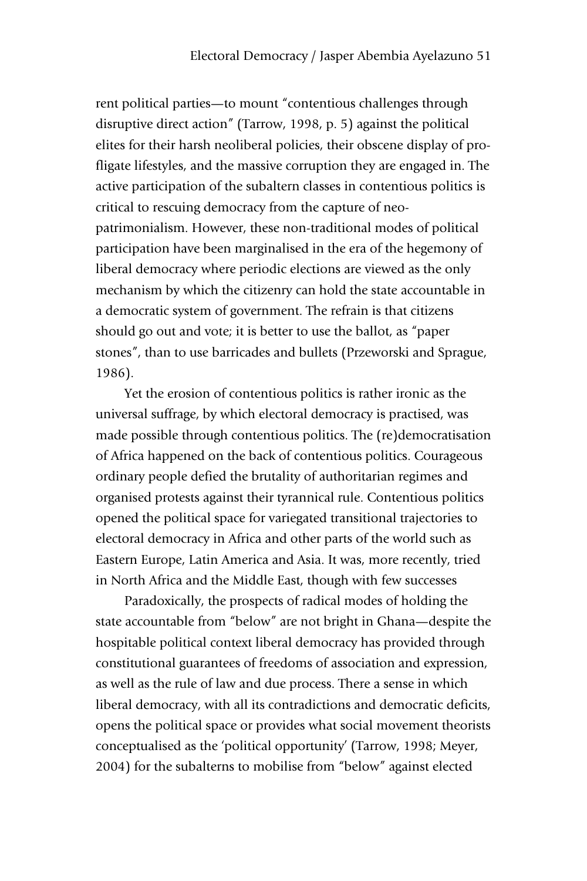rent political parties—to mount "contentious challenges through disruptive direct action" (Tarrow, 1998, p. 5) against the political elites for their harsh neoliberal policies, their obscene display of profligate lifestyles, and the massive corruption they are engaged in. The active participation of the subaltern classes in contentious politics is critical to rescuing democracy from the capture of neopatrimonialism. However, these non-traditional modes of political participation have been marginalised in the era of the hegemony of liberal democracy where periodic elections are viewed as the only mechanism by which the citizenry can hold the state accountable in a democratic system of government. The refrain is that citizens should go out and vote; it is better to use the ballot, as "paper stones", than to use barricades and bullets (Przeworski and Sprague, 1986).

Yet the erosion of contentious politics is rather ironic as the universal suffrage, by which electoral democracy is practised, was made possible through contentious politics. The (re)democratisation of Africa happened on the back of contentious politics. Courageous ordinary people defied the brutality of authoritarian regimes and organised protests against their tyrannical rule. Contentious politics opened the political space for variegated transitional trajectories to electoral democracy in Africa and other parts of the world such as Eastern Europe, Latin America and Asia. It was, more recently, tried in North Africa and the Middle East, though with few successes

Paradoxically, the prospects of radical modes of holding the state accountable from "below" are not bright in Ghana—despite the hospitable political context liberal democracy has provided through constitutional guarantees of freedoms of association and expression, as well as the rule of law and due process. There a sense in which liberal democracy, with all its contradictions and democratic deficits, opens the political space or provides what social movement theorists conceptualised as the 'political opportunity' (Tarrow, 1998; Meyer, 2004) for the subalterns to mobilise from "below" against elected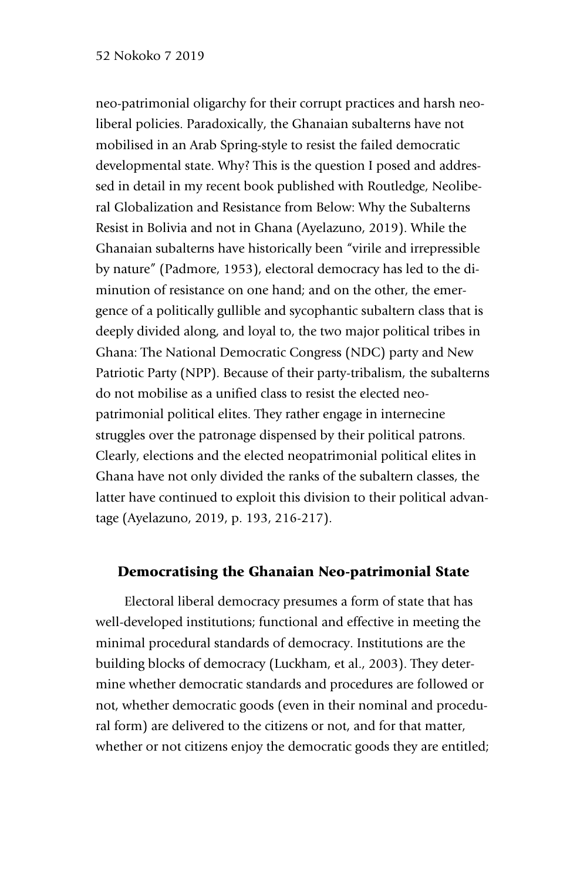#### 52 Nokoko 7 2019

neo-patrimonial oligarchy for their corrupt practices and harsh neoliberal policies. Paradoxically, the Ghanaian subalterns have not mobilised in an Arab Spring-style to resist the failed democratic developmental state. Why? This is the question I posed and addressed in detail in my recent book published with Routledge, Neoliberal Globalization and Resistance from Below: Why the Subalterns Resist in Bolivia and not in Ghana (Ayelazuno, 2019). While the Ghanaian subalterns have historically been "virile and irrepressible by nature" (Padmore, 1953), electoral democracy has led to the diminution of resistance on one hand; and on the other, the emergence of a politically gullible and sycophantic subaltern class that is deeply divided along, and loyal to, the two major political tribes in Ghana: The National Democratic Congress (NDC) party and New Patriotic Party (NPP). Because of their party-tribalism, the subalterns do not mobilise as a unified class to resist the elected neopatrimonial political elites. They rather engage in internecine struggles over the patronage dispensed by their political patrons. Clearly, elections and the elected neopatrimonial political elites in Ghana have not only divided the ranks of the subaltern classes, the latter have continued to exploit this division to their political advantage (Ayelazuno, 2019, p. 193, 216-217).

#### Democratising the Ghanaian Neo-patrimonial State

Electoral liberal democracy presumes a form of state that has well-developed institutions; functional and effective in meeting the minimal procedural standards of democracy. Institutions are the building blocks of democracy (Luckham, et al., 2003). They determine whether democratic standards and procedures are followed or not, whether democratic goods (even in their nominal and procedural form) are delivered to the citizens or not, and for that matter, whether or not citizens enjoy the democratic goods they are entitled;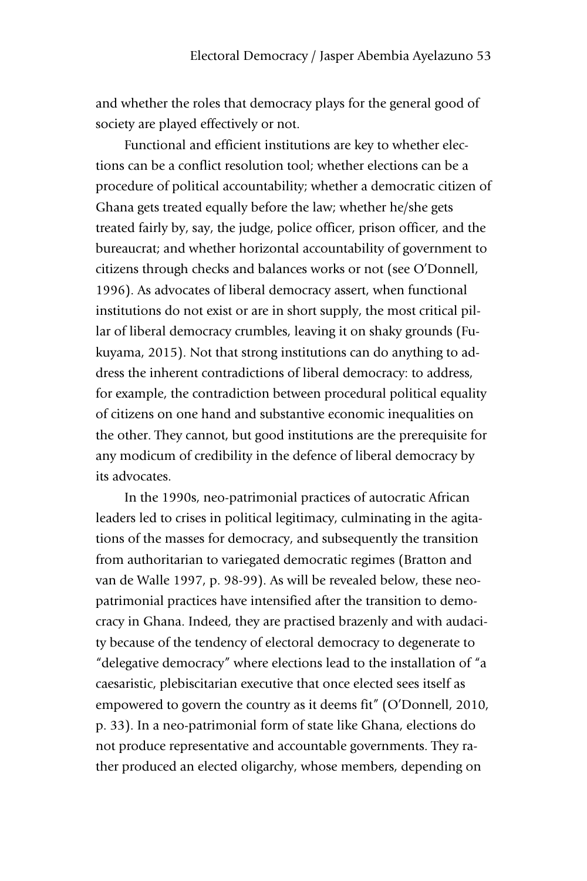and whether the roles that democracy plays for the general good of society are played effectively or not.

Functional and efficient institutions are key to whether elections can be a conflict resolution tool; whether elections can be a procedure of political accountability; whether a democratic citizen of Ghana gets treated equally before the law; whether he/she gets treated fairly by, say, the judge, police officer, prison officer, and the bureaucrat; and whether horizontal accountability of government to citizens through checks and balances works or not (see O'Donnell, 1996). As advocates of liberal democracy assert, when functional institutions do not exist or are in short supply, the most critical pillar of liberal democracy crumbles, leaving it on shaky grounds (Fukuyama, 2015). Not that strong institutions can do anything to address the inherent contradictions of liberal democracy: to address, for example, the contradiction between procedural political equality of citizens on one hand and substantive economic inequalities on the other. They cannot, but good institutions are the prerequisite for any modicum of credibility in the defence of liberal democracy by its advocates.

In the 1990s, neo-patrimonial practices of autocratic African leaders led to crises in political legitimacy, culminating in the agitations of the masses for democracy, and subsequently the transition from authoritarian to variegated democratic regimes (Bratton and van de Walle 1997, p. 98-99). As will be revealed below, these neopatrimonial practices have intensified after the transition to democracy in Ghana. Indeed, they are practised brazenly and with audacity because of the tendency of electoral democracy to degenerate to "delegative democracy" where elections lead to the installation of "a caesaristic, plebiscitarian executive that once elected sees itself as empowered to govern the country as it deems fit" (O'Donnell, 2010, p. 33). In a neo-patrimonial form of state like Ghana, elections do not produce representative and accountable governments. They rather produced an elected oligarchy, whose members, depending on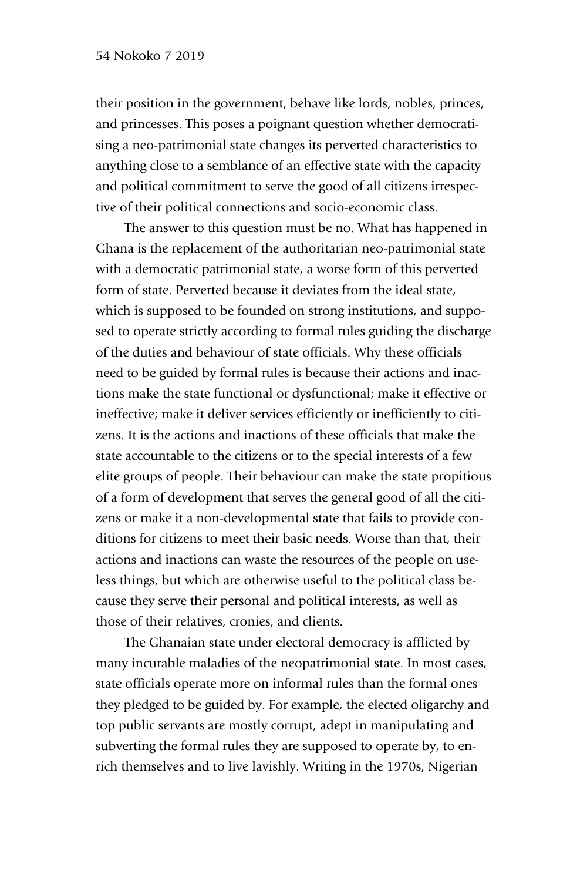their position in the government, behave like lords, nobles, princes, and princesses. This poses a poignant question whether democratising a neo-patrimonial state changes its perverted characteristics to anything close to a semblance of an effective state with the capacity and political commitment to serve the good of all citizens irrespective of their political connections and socio-economic class.

The answer to this question must be no. What has happened in Ghana is the replacement of the authoritarian neo-patrimonial state with a democratic patrimonial state, a worse form of this perverted form of state. Perverted because it deviates from the ideal state, which is supposed to be founded on strong institutions, and supposed to operate strictly according to formal rules guiding the discharge of the duties and behaviour of state officials. Why these officials need to be guided by formal rules is because their actions and inactions make the state functional or dysfunctional; make it effective or ineffective; make it deliver services efficiently or inefficiently to citizens. It is the actions and inactions of these officials that make the state accountable to the citizens or to the special interests of a few elite groups of people. Their behaviour can make the state propitious of a form of development that serves the general good of all the citizens or make it a non-developmental state that fails to provide conditions for citizens to meet their basic needs. Worse than that, their actions and inactions can waste the resources of the people on useless things, but which are otherwise useful to the political class because they serve their personal and political interests, as well as those of their relatives, cronies, and clients.

The Ghanaian state under electoral democracy is afflicted by many incurable maladies of the neopatrimonial state. In most cases, state officials operate more on informal rules than the formal ones they pledged to be guided by. For example, the elected oligarchy and top public servants are mostly corrupt, adept in manipulating and subverting the formal rules they are supposed to operate by, to enrich themselves and to live lavishly. Writing in the 1970s, Nigerian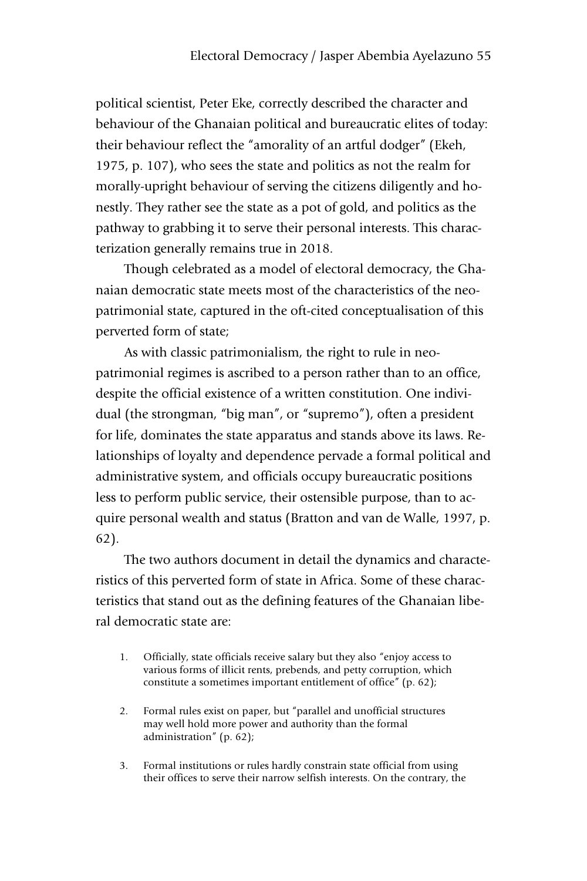political scientist, Peter Eke, correctly described the character and behaviour of the Ghanaian political and bureaucratic elites of today: their behaviour reflect the "amorality of an artful dodger" (Ekeh, 1975, p. 107), who sees the state and politics as not the realm for morally-upright behaviour of serving the citizens diligently and honestly. They rather see the state as a pot of gold, and politics as the pathway to grabbing it to serve their personal interests. This characterization generally remains true in 2018.

Though celebrated as a model of electoral democracy, the Ghanaian democratic state meets most of the characteristics of the neopatrimonial state, captured in the oft-cited conceptualisation of this perverted form of state;

As with classic patrimonialism, the right to rule in neopatrimonial regimes is ascribed to a person rather than to an office, despite the official existence of a written constitution. One individual (the strongman, "big man", or "supremo"), often a president for life, dominates the state apparatus and stands above its laws. Relationships of loyalty and dependence pervade a formal political and administrative system, and officials occupy bureaucratic positions less to perform public service, their ostensible purpose, than to acquire personal wealth and status (Bratton and van de Walle, 1997, p. 62).

The two authors document in detail the dynamics and characteristics of this perverted form of state in Africa. Some of these characteristics that stand out as the defining features of the Ghanaian liberal democratic state are:

- 1. Officially, state officials receive salary but they also "enjoy access to various forms of illicit rents, prebends, and petty corruption, which constitute a sometimes important entitlement of office" (p. 62);
- 2. Formal rules exist on paper, but "parallel and unofficial structures may well hold more power and authority than the formal administration" (p. 62);
- 3. Formal institutions or rules hardly constrain state official from using their offices to serve their narrow selfish interests. On the contrary, the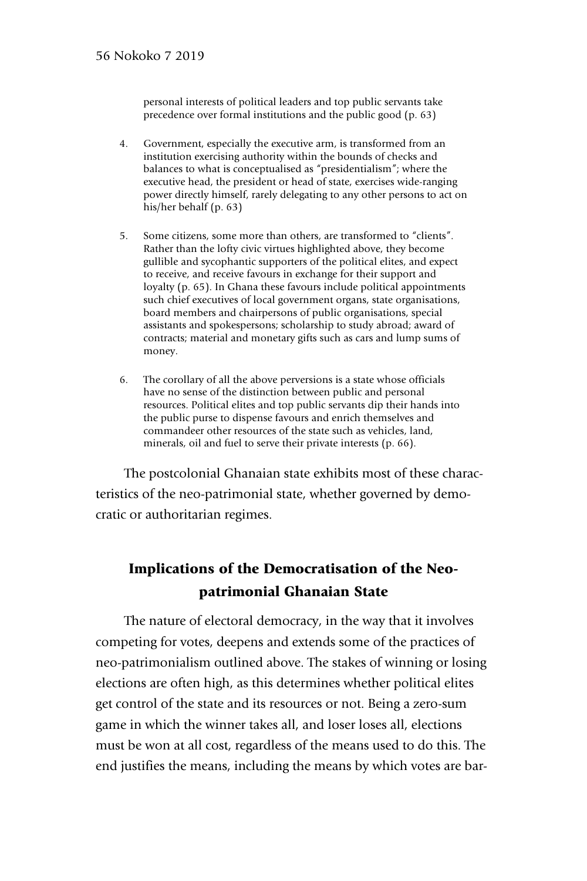personal interests of political leaders and top public servants take precedence over formal institutions and the public good (p. 63)

- 4. Government, especially the executive arm, is transformed from an institution exercising authority within the bounds of checks and balances to what is conceptualised as "presidentialism"; where the executive head, the president or head of state, exercises wide-ranging power directly himself, rarely delegating to any other persons to act on his/her behalf (p. 63)
- 5. Some citizens, some more than others, are transformed to "clients". Rather than the lofty civic virtues highlighted above, they become gullible and sycophantic supporters of the political elites, and expect to receive, and receive favours in exchange for their support and loyalty (p. 65). In Ghana these favours include political appointments such chief executives of local government organs, state organisations, board members and chairpersons of public organisations, special assistants and spokespersons; scholarship to study abroad; award of contracts; material and monetary gifts such as cars and lump sums of money.
- 6. The corollary of all the above perversions is a state whose officials have no sense of the distinction between public and personal resources. Political elites and top public servants dip their hands into the public purse to dispense favours and enrich themselves and commandeer other resources of the state such as vehicles, land, minerals, oil and fuel to serve their private interests (p. 66).

The postcolonial Ghanaian state exhibits most of these characteristics of the neo-patrimonial state, whether governed by democratic or authoritarian regimes.

### Implications of the Democratisation of the Neopatrimonial Ghanaian State

The nature of electoral democracy, in the way that it involves competing for votes, deepens and extends some of the practices of neo-patrimonialism outlined above. The stakes of winning or losing elections are often high, as this determines whether political elites get control of the state and its resources or not. Being a zero-sum game in which the winner takes all, and loser loses all, elections must be won at all cost, regardless of the means used to do this. The end justifies the means, including the means by which votes are bar-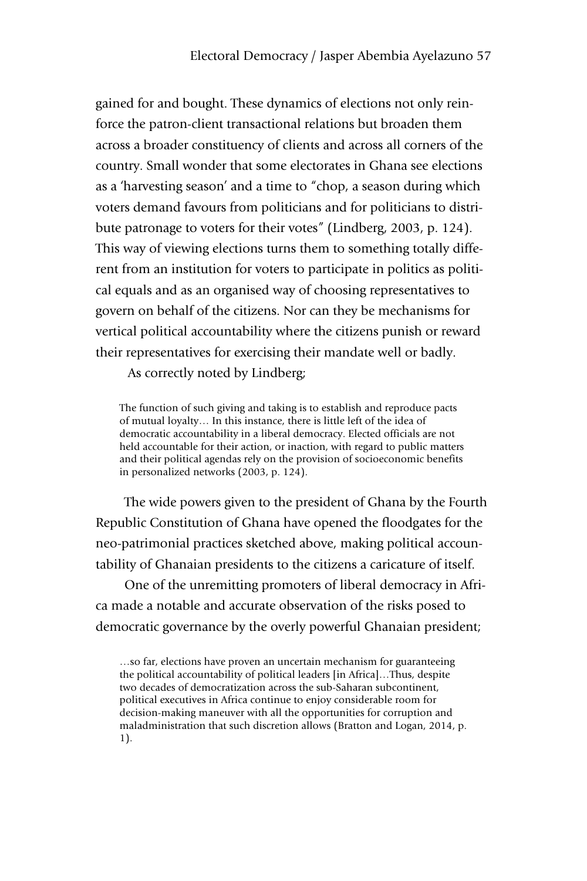gained for and bought. These dynamics of elections not only reinforce the patron-client transactional relations but broaden them across a broader constituency of clients and across all corners of the country. Small wonder that some electorates in Ghana see elections as a 'harvesting season' and a time to "chop, a season during which voters demand favours from politicians and for politicians to distribute patronage to voters for their votes" (Lindberg, 2003, p. 124). This way of viewing elections turns them to something totally different from an institution for voters to participate in politics as political equals and as an organised way of choosing representatives to govern on behalf of the citizens. Nor can they be mechanisms for vertical political accountability where the citizens punish or reward their representatives for exercising their mandate well or badly.

As correctly noted by Lindberg;

The function of such giving and taking is to establish and reproduce pacts of mutual loyalty… In this instance, there is little left of the idea of democratic accountability in a liberal democracy. Elected officials are not held accountable for their action, or inaction, with regard to public matters and their political agendas rely on the provision of socioeconomic benefits in personalized networks (2003, p. 124).

The wide powers given to the president of Ghana by the Fourth Republic Constitution of Ghana have opened the floodgates for the neo-patrimonial practices sketched above, making political accountability of Ghanaian presidents to the citizens a caricature of itself.

One of the unremitting promoters of liberal democracy in Africa made a notable and accurate observation of the risks posed to democratic governance by the overly powerful Ghanaian president;

…so far, elections have proven an uncertain mechanism for guaranteeing the political accountability of political leaders [in Africa]…Thus, despite two decades of democratization across the sub-Saharan subcontinent, political executives in Africa continue to enjoy considerable room for decision-making maneuver with all the opportunities for corruption and maladministration that such discretion allows (Bratton and Logan, 2014, p. 1).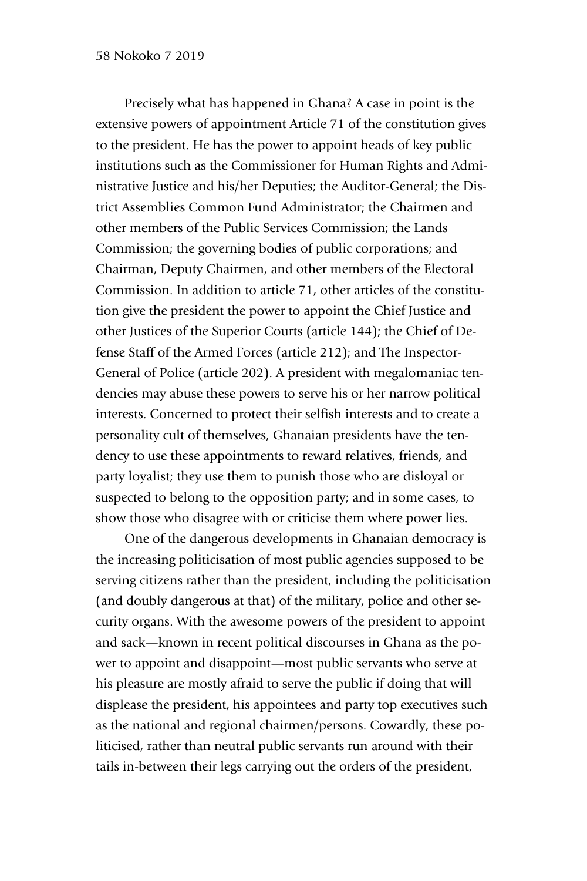Precisely what has happened in Ghana? A case in point is the extensive powers of appointment Article 71 of the constitution gives to the president. He has the power to appoint heads of key public institutions such as the Commissioner for Human Rights and Administrative Justice and his/her Deputies; the Auditor-General; the District Assemblies Common Fund Administrator; the Chairmen and other members of the Public Services Commission; the Lands Commission; the governing bodies of public corporations; and Chairman, Deputy Chairmen, and other members of the Electoral Commission. In addition to article 71, other articles of the constitution give the president the power to appoint the Chief Justice and other Justices of the Superior Courts (article 144); the Chief of Defense Staff of the Armed Forces (article 212); and The Inspector-General of Police (article 202). A president with megalomaniac tendencies may abuse these powers to serve his or her narrow political interests. Concerned to protect their selfish interests and to create a personality cult of themselves, Ghanaian presidents have the tendency to use these appointments to reward relatives, friends, and party loyalist; they use them to punish those who are disloyal or suspected to belong to the opposition party; and in some cases, to show those who disagree with or criticise them where power lies.

One of the dangerous developments in Ghanaian democracy is the increasing politicisation of most public agencies supposed to be serving citizens rather than the president, including the politicisation (and doubly dangerous at that) of the military, police and other security organs. With the awesome powers of the president to appoint and sack—known in recent political discourses in Ghana as the power to appoint and disappoint—most public servants who serve at his pleasure are mostly afraid to serve the public if doing that will displease the president, his appointees and party top executives such as the national and regional chairmen/persons. Cowardly, these politicised, rather than neutral public servants run around with their tails in-between their legs carrying out the orders of the president,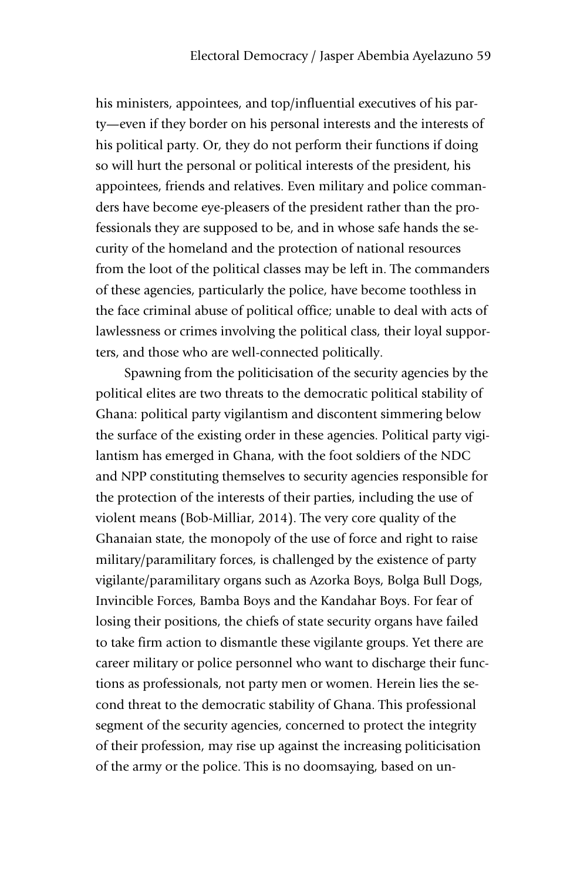his ministers, appointees, and top/influential executives of his party—even if they border on his personal interests and the interests of his political party. Or, they do not perform their functions if doing so will hurt the personal or political interests of the president, his appointees, friends and relatives. Even military and police commanders have become eye-pleasers of the president rather than the professionals they are supposed to be, and in whose safe hands the security of the homeland and the protection of national resources from the loot of the political classes may be left in. The commanders of these agencies, particularly the police, have become toothless in the face criminal abuse of political office; unable to deal with acts of lawlessness or crimes involving the political class, their loyal supporters, and those who are well-connected politically.

Spawning from the politicisation of the security agencies by the political elites are two threats to the democratic political stability of Ghana: political party vigilantism and discontent simmering below the surface of the existing order in these agencies. Political party vigilantism has emerged in Ghana, with the foot soldiers of the NDC and NPP constituting themselves to security agencies responsible for the protection of the interests of their parties, including the use of violent means (Bob-Milliar, 2014). The very core quality of the Ghanaian state, the monopoly of the use of force and right to raise military/paramilitary forces, is challenged by the existence of party vigilante/paramilitary organs such as Azorka Boys, Bolga Bull Dogs, Invincible Forces, Bamba Boys and the Kandahar Boys. For fear of losing their positions, the chiefs of state security organs have failed to take firm action to dismantle these vigilante groups. Yet there are career military or police personnel who want to discharge their functions as professionals, not party men or women. Herein lies the second threat to the democratic stability of Ghana. This professional segment of the security agencies, concerned to protect the integrity of their profession, may rise up against the increasing politicisation of the army or the police. This is no doomsaying, based on un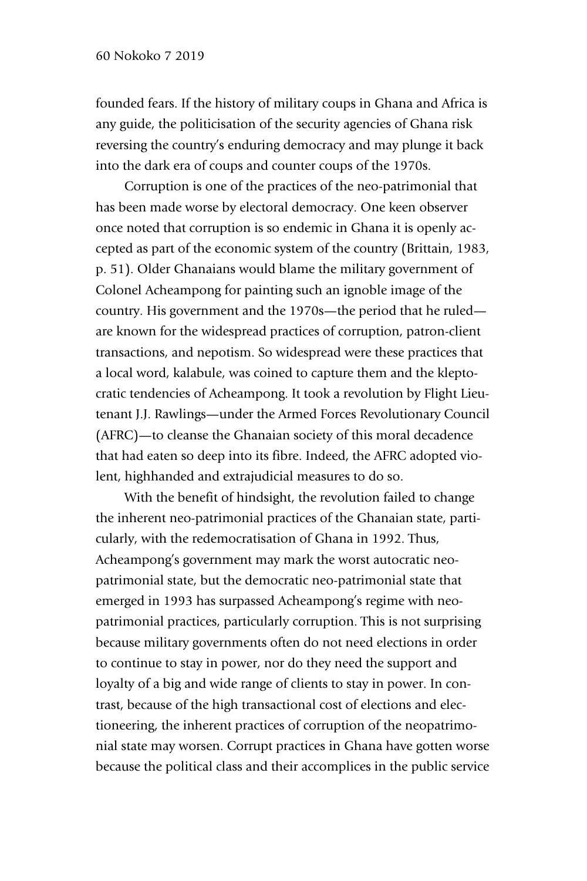founded fears. If the history of military coups in Ghana and Africa is any guide, the politicisation of the security agencies of Ghana risk reversing the country's enduring democracy and may plunge it back into the dark era of coups and counter coups of the 1970s.

Corruption is one of the practices of the neo-patrimonial that has been made worse by electoral democracy. One keen observer once noted that corruption is so endemic in Ghana it is openly accepted as part of the economic system of the country (Brittain, 1983, p. 51). Older Ghanaians would blame the military government of Colonel Acheampong for painting such an ignoble image of the country. His government and the 1970s—the period that he ruled are known for the widespread practices of corruption, patron-client transactions, and nepotism. So widespread were these practices that a local word, kalabule, was coined to capture them and the kleptocratic tendencies of Acheampong. It took a revolution by Flight Lieutenant J.J. Rawlings—under the Armed Forces Revolutionary Council (AFRC)—to cleanse the Ghanaian society of this moral decadence that had eaten so deep into its fibre. Indeed, the AFRC adopted violent, highhanded and extrajudicial measures to do so.

With the benefit of hindsight, the revolution failed to change the inherent neo-patrimonial practices of the Ghanaian state, particularly, with the redemocratisation of Ghana in 1992. Thus, Acheampong's government may mark the worst autocratic neopatrimonial state, but the democratic neo-patrimonial state that emerged in 1993 has surpassed Acheampong's regime with neopatrimonial practices, particularly corruption. This is not surprising because military governments often do not need elections in order to continue to stay in power, nor do they need the support and loyalty of a big and wide range of clients to stay in power. In contrast, because of the high transactional cost of elections and electioneering, the inherent practices of corruption of the neopatrimonial state may worsen. Corrupt practices in Ghana have gotten worse because the political class and their accomplices in the public service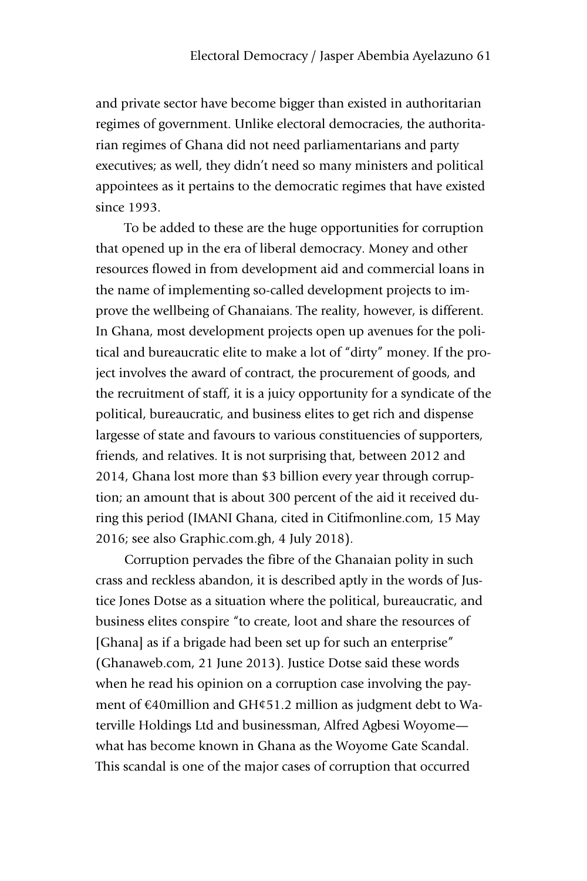and private sector have become bigger than existed in authoritarian regimes of government. Unlike electoral democracies, the authoritarian regimes of Ghana did not need parliamentarians and party executives; as well, they didn't need so many ministers and political appointees as it pertains to the democratic regimes that have existed since 1993.

To be added to these are the huge opportunities for corruption that opened up in the era of liberal democracy. Money and other resources flowed in from development aid and commercial loans in the name of implementing so-called development projects to improve the wellbeing of Ghanaians. The reality, however, is different. In Ghana, most development projects open up avenues for the political and bureaucratic elite to make a lot of "dirty" money. If the project involves the award of contract, the procurement of goods, and the recruitment of staff, it is a juicy opportunity for a syndicate of the political, bureaucratic, and business elites to get rich and dispense largesse of state and favours to various constituencies of supporters, friends, and relatives. It is not surprising that, between 2012 and 2014, Ghana lost more than \$3 billion every year through corruption; an amount that is about 300 percent of the aid it received during this period (IMANI Ghana, cited in Citifmonline.com, 15 May 2016; see also Graphic.com.gh, 4 July 2018).

Corruption pervades the fibre of the Ghanaian polity in such crass and reckless abandon, it is described aptly in the words of Justice Jones Dotse as a situation where the political, bureaucratic, and business elites conspire "to create, loot and share the resources of [Ghana] as if a brigade had been set up for such an enterprise" (Ghanaweb.com, 21 June 2013). Justice Dotse said these words when he read his opinion on a corruption case involving the payment of €40million and GH¢51.2 million as judgment debt to Waterville Holdings Ltd and businessman, Alfred Agbesi Woyome what has become known in Ghana as the Woyome Gate Scandal. This scandal is one of the major cases of corruption that occurred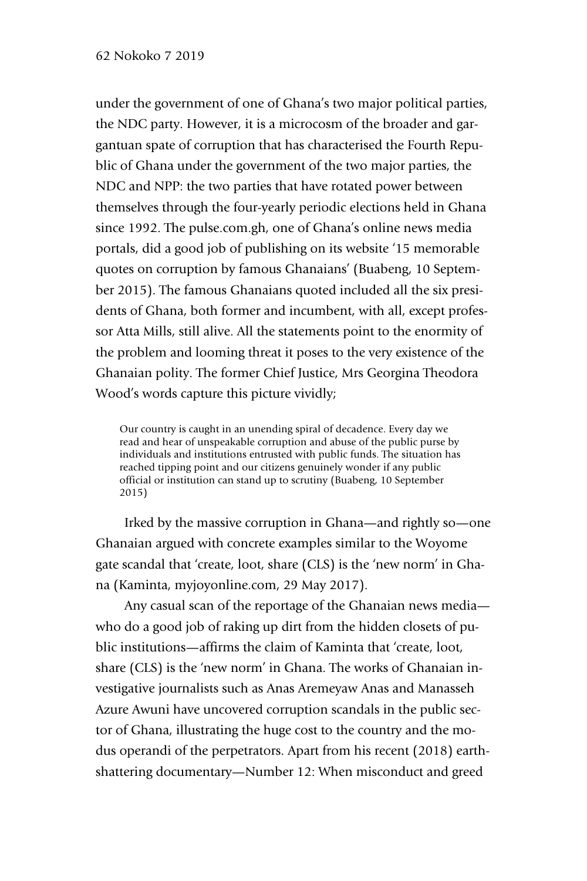under the government of one of Ghana's two major political parties, the NDC party. However, it is a microcosm of the broader and gargantuan spate of corruption that has characterised the Fourth Republic of Ghana under the government of the two major parties, the NDC and NPP: the two parties that have rotated power between themselves through the four-yearly periodic elections held in Ghana since 1992. The pulse.com.gh, one of Ghana's online news media portals, did a good job of publishing on its website '15 memorable quotes on corruption by famous Ghanaians' (Buabeng, 10 September 2015). The famous Ghanaians quoted included all the six presidents of Ghana, both former and incumbent, with all, except professor Atta Mills, still alive. All the statements point to the enormity of the problem and looming threat it poses to the very existence of the Ghanaian polity. The former Chief Justice, Mrs Georgina Theodora Wood's words capture this picture vividly;

Our country is caught in an unending spiral of decadence. Every day we read and hear of unspeakable corruption and abuse of the public purse by individuals and institutions entrusted with public funds. The situation has reached tipping point and our citizens genuinely wonder if any public official or institution can stand up to scrutiny (Buabeng, 10 September 2015)

Irked by the massive corruption in Ghana—and rightly so—one Ghanaian argued with concrete examples similar to the Woyome gate scandal that 'create, loot, share (CLS) is the 'new norm' in Ghana (Kaminta, myjoyonline.com, 29 May 2017).

Any casual scan of the reportage of the Ghanaian news media who do a good job of raking up dirt from the hidden closets of public institutions—affirms the claim of Kaminta that 'create, loot, share (CLS) is the 'new norm' in Ghana. The works of Ghanaian investigative journalists such as Anas Aremeyaw Anas and Manasseh Azure Awuni have uncovered corruption scandals in the public sector of Ghana, illustrating the huge cost to the country and the modus operandi of the perpetrators. Apart from his recent (2018) earthshattering documentary—Number 12: When misconduct and greed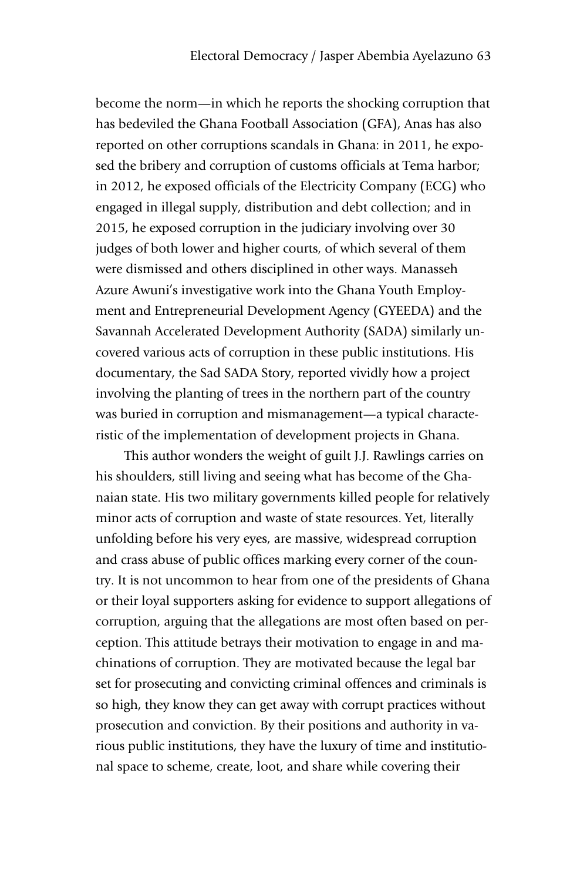become the norm—in which he reports the shocking corruption that has bedeviled the Ghana Football Association (GFA), Anas has also reported on other corruptions scandals in Ghana: in 2011, he exposed the bribery and corruption of customs officials at Tema harbor; in 2012, he exposed officials of the Electricity Company (ECG) who engaged in illegal supply, distribution and debt collection; and in 2015, he exposed corruption in the judiciary involving over 30 judges of both lower and higher courts, of which several of them were dismissed and others disciplined in other ways. Manasseh Azure Awuni's investigative work into the Ghana Youth Employment and Entrepreneurial Development Agency (GYEEDA) and the Savannah Accelerated Development Authority (SADA) similarly uncovered various acts of corruption in these public institutions. His documentary, the Sad SADA Story, reported vividly how a project involving the planting of trees in the northern part of the country was buried in corruption and mismanagement—a typical characteristic of the implementation of development projects in Ghana.

This author wonders the weight of guilt J.J. Rawlings carries on his shoulders, still living and seeing what has become of the Ghanaian state. His two military governments killed people for relatively minor acts of corruption and waste of state resources. Yet, literally unfolding before his very eyes, are massive, widespread corruption and crass abuse of public offices marking every corner of the country. It is not uncommon to hear from one of the presidents of Ghana or their loyal supporters asking for evidence to support allegations of corruption, arguing that the allegations are most often based on perception. This attitude betrays their motivation to engage in and machinations of corruption. They are motivated because the legal bar set for prosecuting and convicting criminal offences and criminals is so high, they know they can get away with corrupt practices without prosecution and conviction. By their positions and authority in various public institutions, they have the luxury of time and institutional space to scheme, create, loot, and share while covering their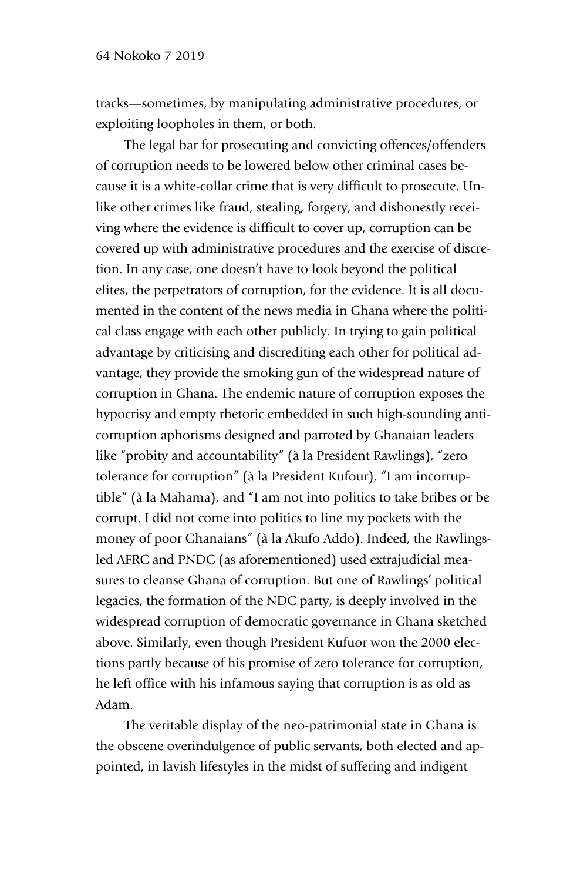tracks—sometimes, by manipulating administrative procedures, or exploiting loopholes in them, or both.

The legal bar for prosecuting and convicting offences/offenders of corruption needs to be lowered below other criminal cases because it is a white-collar crime that is very difficult to prosecute. Unlike other crimes like fraud, stealing, forgery, and dishonestly receiving where the evidence is difficult to cover up, corruption can be covered up with administrative procedures and the exercise of discretion. In any case, one doesn't have to look beyond the political elites, the perpetrators of corruption, for the evidence. It is all documented in the content of the news media in Ghana where the political class engage with each other publicly. In trying to gain political advantage by criticising and discrediting each other for political advantage, they provide the smoking gun of the widespread nature of corruption in Ghana. The endemic nature of corruption exposes the hypocrisy and empty rhetoric embedded in such high-sounding anticorruption aphorisms designed and parroted by Ghanaian leaders like "probity and accountability" (à la President Rawlings), "zero tolerance for corruption" (à la President Kufour), "I am incorruptible" (à la Mahama), and "I am not into politics to take bribes or be corrupt. I did not come into politics to line my pockets with the money of poor Ghanaians" (à la Akufo Addo). Indeed, the Rawlingsled AFRC and PNDC (as aforementioned) used extrajudicial measures to cleanse Ghana of corruption. But one of Rawlings' political legacies, the formation of the NDC party, is deeply involved in the widespread corruption of democratic governance in Ghana sketched above. Similarly, even though President Kufuor won the 2000 elections partly because of his promise of zero tolerance for corruption, he left office with his infamous saying that corruption is as old as Adam.

The veritable display of the neo-patrimonial state in Ghana is the obscene overindulgence of public servants, both elected and appointed, in lavish lifestyles in the midst of suffering and indigent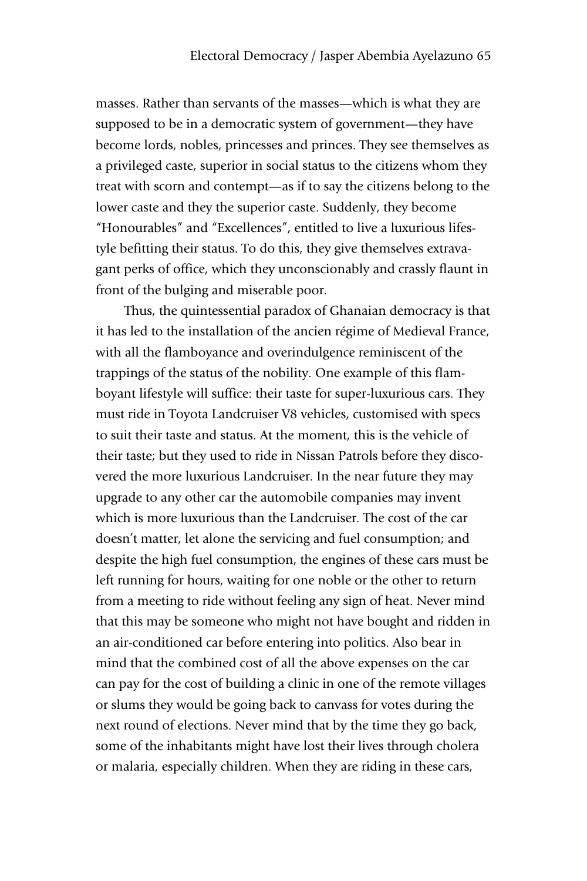masses. Rather than servants of the masses—which is what they are supposed to be in a democratic system of government—they have become lords, nobles, princesses and princes. They see themselves as a privileged caste, superior in social status to the citizens whom they treat with scorn and contempt—as if to say the citizens belong to the lower caste and they the superior caste. Suddenly, they become "Honourables" and "Excellences", entitled to live a luxurious lifestyle befitting their status. To do this, they give themselves extravagant perks of office, which they unconscionably and crassly flaunt in front of the bulging and miserable poor.

Thus, the quintessential paradox of Ghanaian democracy is that it has led to the installation of the ancien régime of Medieval France, with all the flamboyance and overindulgence reminiscent of the trappings of the status of the nobility. One example of this flamboyant lifestyle will suffice: their taste for super-luxurious cars. They must ride in Toyota Landcruiser V8 vehicles, customised with specs to suit their taste and status. At the moment, this is the vehicle of their taste; but they used to ride in Nissan Patrols before they discovered the more luxurious Landcruiser. In the near future they may upgrade to any other car the automobile companies may invent which is more luxurious than the Landcruiser. The cost of the car doesn't matter, let alone the servicing and fuel consumption; and despite the high fuel consumption, the engines of these cars must be left running for hours, waiting for one noble or the other to return from a meeting to ride without feeling any sign of heat. Never mind that this may be someone who might not have bought and ridden in an air-conditioned car before entering into politics. Also bear in mind that the combined cost of all the above expenses on the car can pay for the cost of building a clinic in one of the remote villages or slums they would be going back to canvass for votes during the next round of elections. Never mind that by the time they go back, some of the inhabitants might have lost their lives through cholera or malaria, especially children. When they are riding in these cars,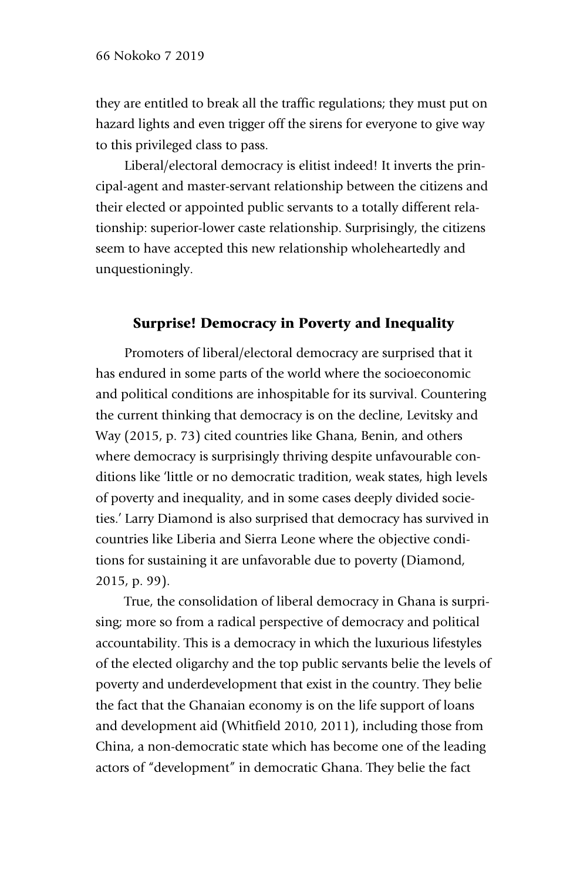they are entitled to break all the traffic regulations; they must put on hazard lights and even trigger off the sirens for everyone to give way to this privileged class to pass.

Liberal/electoral democracy is elitist indeed! It inverts the principal-agent and master-servant relationship between the citizens and their elected or appointed public servants to a totally different relationship: superior-lower caste relationship. Surprisingly, the citizens seem to have accepted this new relationship wholeheartedly and unquestioningly.

#### Surprise! Democracy in Poverty and Inequality

Promoters of liberal/electoral democracy are surprised that it has endured in some parts of the world where the socioeconomic and political conditions are inhospitable for its survival. Countering the current thinking that democracy is on the decline, Levitsky and Way (2015, p. 73) cited countries like Ghana, Benin, and others where democracy is surprisingly thriving despite unfavourable conditions like 'little or no democratic tradition, weak states, high levels of poverty and inequality, and in some cases deeply divided societies.' Larry Diamond is also surprised that democracy has survived in countries like Liberia and Sierra Leone where the objective conditions for sustaining it are unfavorable due to poverty (Diamond, 2015, p. 99).

True, the consolidation of liberal democracy in Ghana is surprising; more so from a radical perspective of democracy and political accountability. This is a democracy in which the luxurious lifestyles of the elected oligarchy and the top public servants belie the levels of poverty and underdevelopment that exist in the country. They belie the fact that the Ghanaian economy is on the life support of loans and development aid (Whitfield 2010, 2011), including those from China, a non-democratic state which has become one of the leading actors of "development" in democratic Ghana. They belie the fact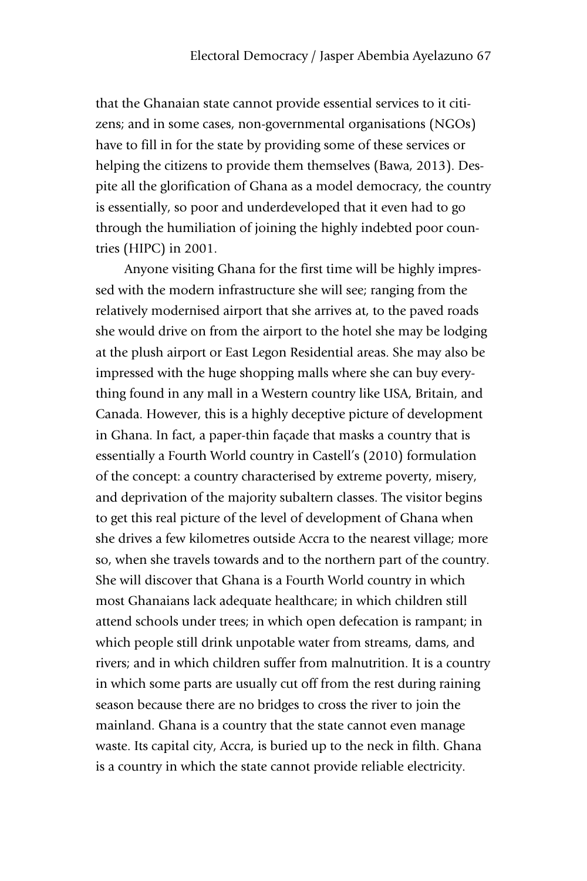that the Ghanaian state cannot provide essential services to it citizens; and in some cases, non-governmental organisations (NGOs) have to fill in for the state by providing some of these services or helping the citizens to provide them themselves (Bawa, 2013). Despite all the glorification of Ghana as a model democracy, the country is essentially, so poor and underdeveloped that it even had to go through the humiliation of joining the highly indebted poor countries (HIPC) in 2001.

Anyone visiting Ghana for the first time will be highly impressed with the modern infrastructure she will see; ranging from the relatively modernised airport that she arrives at, to the paved roads she would drive on from the airport to the hotel she may be lodging at the plush airport or East Legon Residential areas. She may also be impressed with the huge shopping malls where she can buy everything found in any mall in a Western country like USA, Britain, and Canada. However, this is a highly deceptive picture of development in Ghana. In fact, a paper-thin façade that masks a country that is essentially a Fourth World country in Castell's (2010) formulation of the concept: a country characterised by extreme poverty, misery, and deprivation of the majority subaltern classes. The visitor begins to get this real picture of the level of development of Ghana when she drives a few kilometres outside Accra to the nearest village; more so, when she travels towards and to the northern part of the country. She will discover that Ghana is a Fourth World country in which most Ghanaians lack adequate healthcare; in which children still attend schools under trees; in which open defecation is rampant; in which people still drink unpotable water from streams, dams, and rivers; and in which children suffer from malnutrition. It is a country in which some parts are usually cut off from the rest during raining season because there are no bridges to cross the river to join the mainland. Ghana is a country that the state cannot even manage waste. Its capital city, Accra, is buried up to the neck in filth. Ghana is a country in which the state cannot provide reliable electricity.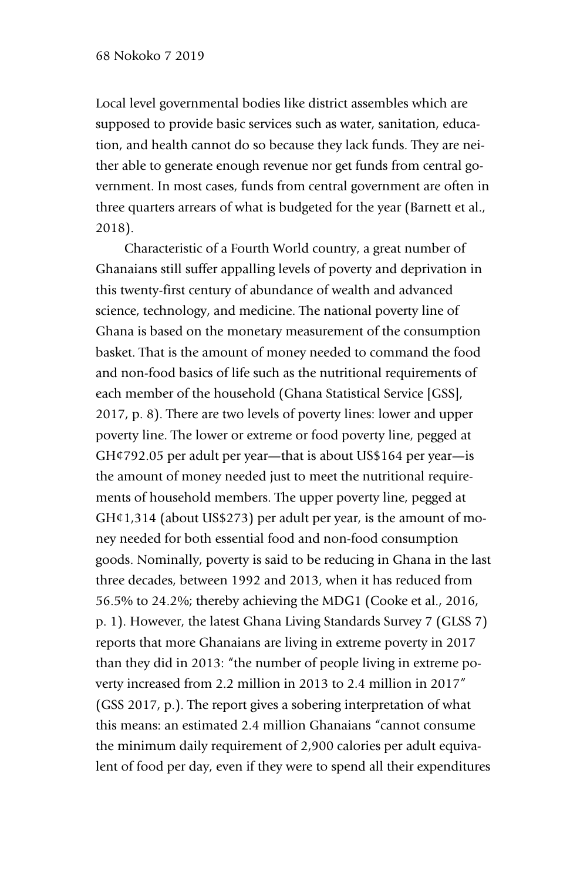Local level governmental bodies like district assembles which are supposed to provide basic services such as water, sanitation, education, and health cannot do so because they lack funds. They are neither able to generate enough revenue nor get funds from central government. In most cases, funds from central government are often in three quarters arrears of what is budgeted for the year (Barnett et al., 2018).

Characteristic of a Fourth World country, a great number of Ghanaians still suffer appalling levels of poverty and deprivation in this twenty-first century of abundance of wealth and advanced science, technology, and medicine. The national poverty line of Ghana is based on the monetary measurement of the consumption basket. That is the amount of money needed to command the food and non-food basics of life such as the nutritional requirements of each member of the household (Ghana Statistical Service [GSS], 2017, p. 8). There are two levels of poverty lines: lower and upper poverty line. The lower or extreme or food poverty line, pegged at GH¢792.05 per adult per year—that is about US\$164 per year—is the amount of money needed just to meet the nutritional requirements of household members. The upper poverty line, pegged at GH¢1,314 (about US\$273) per adult per year, is the amount of money needed for both essential food and non-food consumption goods. Nominally, poverty is said to be reducing in Ghana in the last three decades, between 1992 and 2013, when it has reduced from 56.5% to 24.2%; thereby achieving the MDG1 (Cooke et al., 2016, p. 1). However, the latest Ghana Living Standards Survey 7 (GLSS 7) reports that more Ghanaians are living in extreme poverty in 2017 than they did in 2013: "the number of people living in extreme poverty increased from 2.2 million in 2013 to 2.4 million in 2017" (GSS 2017, p.). The report gives a sobering interpretation of what this means: an estimated 2.4 million Ghanaians "cannot consume the minimum daily requirement of 2,900 calories per adult equivalent of food per day, even if they were to spend all their expenditures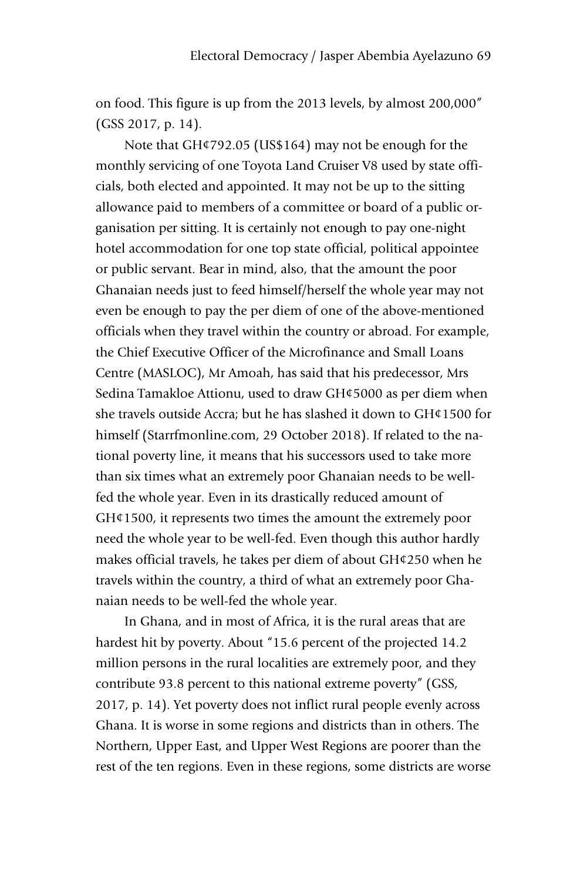on food. This figure is up from the 2013 levels, by almost 200,000" (GSS 2017, p. 14).

Note that GH¢792.05 (US\$164) may not be enough for the monthly servicing of one Toyota Land Cruiser V8 used by state officials, both elected and appointed. It may not be up to the sitting allowance paid to members of a committee or board of a public organisation per sitting. It is certainly not enough to pay one-night hotel accommodation for one top state official, political appointee or public servant. Bear in mind, also, that the amount the poor Ghanaian needs just to feed himself/herself the whole year may not even be enough to pay the per diem of one of the above-mentioned officials when they travel within the country or abroad. For example, the Chief Executive Officer of the Microfinance and Small Loans Centre (MASLOC), Mr Amoah, has said that his predecessor, Mrs Sedina Tamakloe Attionu, used to draw GH¢5000 as per diem when she travels outside Accra; but he has slashed it down to GH¢1500 for himself (Starrfmonline.com, 29 October 2018). If related to the national poverty line, it means that his successors used to take more than six times what an extremely poor Ghanaian needs to be wellfed the whole year. Even in its drastically reduced amount of GH¢1500, it represents two times the amount the extremely poor need the whole year to be well-fed. Even though this author hardly makes official travels, he takes per diem of about GH¢250 when he travels within the country, a third of what an extremely poor Ghanaian needs to be well-fed the whole year.

In Ghana, and in most of Africa, it is the rural areas that are hardest hit by poverty. About "15.6 percent of the projected 14.2 million persons in the rural localities are extremely poor, and they contribute 93.8 percent to this national extreme poverty" (GSS, 2017, p. 14). Yet poverty does not inflict rural people evenly across Ghana. It is worse in some regions and districts than in others. The Northern, Upper East, and Upper West Regions are poorer than the rest of the ten regions. Even in these regions, some districts are worse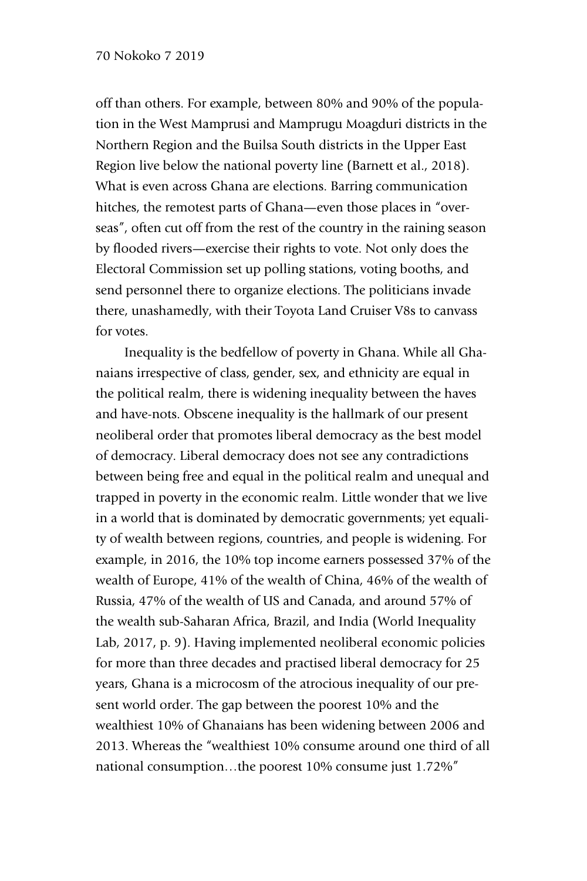#### 70 Nokoko 7 2019

off than others. For example, between 80% and 90% of the population in the West Mamprusi and Mamprugu Moagduri districts in the Northern Region and the Builsa South districts in the Upper East Region live below the national poverty line (Barnett et al., 2018). What is even across Ghana are elections. Barring communication hitches, the remotest parts of Ghana—even those places in "overseas", often cut off from the rest of the country in the raining season by flooded rivers—exercise their rights to vote. Not only does the Electoral Commission set up polling stations, voting booths, and send personnel there to organize elections. The politicians invade there, unashamedly, with their Toyota Land Cruiser V8s to canvass for votes.

Inequality is the bedfellow of poverty in Ghana. While all Ghanaians irrespective of class, gender, sex, and ethnicity are equal in the political realm, there is widening inequality between the haves and have-nots. Obscene inequality is the hallmark of our present neoliberal order that promotes liberal democracy as the best model of democracy. Liberal democracy does not see any contradictions between being free and equal in the political realm and unequal and trapped in poverty in the economic realm. Little wonder that we live in a world that is dominated by democratic governments; yet equality of wealth between regions, countries, and people is widening. For example, in 2016, the 10% top income earners possessed 37% of the wealth of Europe, 41% of the wealth of China, 46% of the wealth of Russia, 47% of the wealth of US and Canada, and around 57% of the wealth sub-Saharan Africa, Brazil, and India (World Inequality Lab, 2017, p. 9). Having implemented neoliberal economic policies for more than three decades and practised liberal democracy for 25 years, Ghana is a microcosm of the atrocious inequality of our present world order. The gap between the poorest 10% and the wealthiest 10% of Ghanaians has been widening between 2006 and 2013. Whereas the "wealthiest 10% consume around one third of all national consumption…the poorest 10% consume just 1.72%"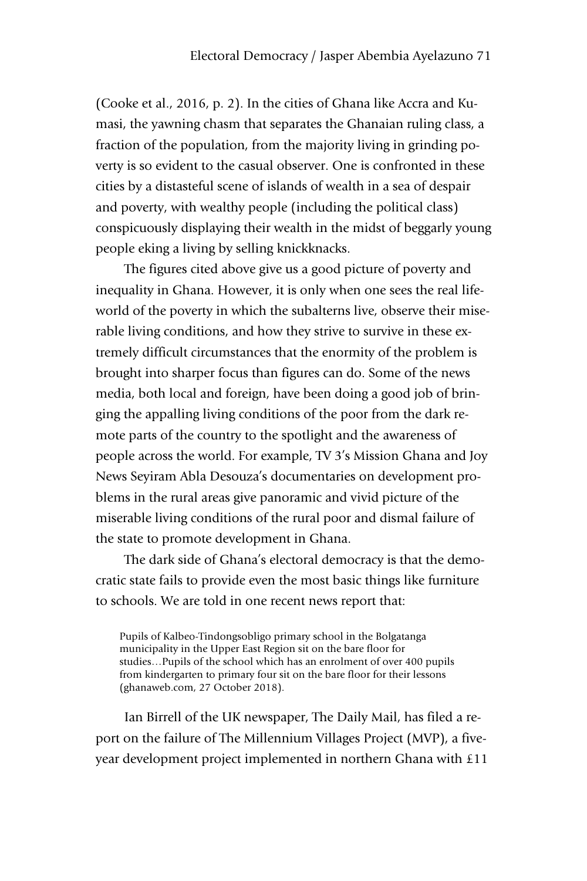(Cooke et al., 2016, p. 2). In the cities of Ghana like Accra and Kumasi, the yawning chasm that separates the Ghanaian ruling class, a fraction of the population, from the majority living in grinding poverty is so evident to the casual observer. One is confronted in these cities by a distasteful scene of islands of wealth in a sea of despair and poverty, with wealthy people (including the political class) conspicuously displaying their wealth in the midst of beggarly young people eking a living by selling knickknacks.

The figures cited above give us a good picture of poverty and inequality in Ghana. However, it is only when one sees the real lifeworld of the poverty in which the subalterns live, observe their miserable living conditions, and how they strive to survive in these extremely difficult circumstances that the enormity of the problem is brought into sharper focus than figures can do. Some of the news media, both local and foreign, have been doing a good job of bringing the appalling living conditions of the poor from the dark remote parts of the country to the spotlight and the awareness of people across the world. For example, TV 3's Mission Ghana and Joy News Seyiram Abla Desouza's documentaries on development problems in the rural areas give panoramic and vivid picture of the miserable living conditions of the rural poor and dismal failure of the state to promote development in Ghana.

The dark side of Ghana's electoral democracy is that the democratic state fails to provide even the most basic things like furniture to schools. We are told in one recent news report that:

Pupils of Kalbeo-Tindongsobligo primary school in the Bolgatanga municipality in the Upper East Region sit on the bare floor for studies…Pupils of the school which has an enrolment of over 400 pupils from kindergarten to primary four sit on the bare floor for their lessons (ghanaweb.com, 27 October 2018).

Ian Birrell of the UK newspaper, The Daily Mail, has filed a report on the failure of The Millennium Villages Project (MVP), a fiveyear development project implemented in northern Ghana with £11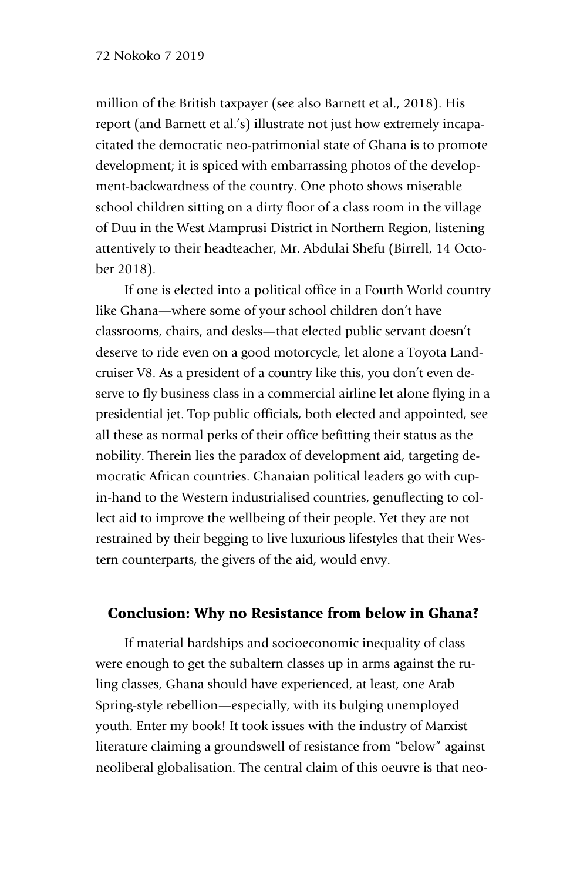#### 72 Nokoko 7 2019

million of the British taxpayer (see also Barnett et al., 2018). His report (and Barnett et al.'s) illustrate not just how extremely incapacitated the democratic neo-patrimonial state of Ghana is to promote development; it is spiced with embarrassing photos of the development-backwardness of the country. One photo shows miserable school children sitting on a dirty floor of a class room in the village of Duu in the West Mamprusi District in Northern Region, listening attentively to their headteacher, Mr. Abdulai Shefu (Birrell, 14 October 2018).

If one is elected into a political office in a Fourth World country like Ghana—where some of your school children don't have classrooms, chairs, and desks—that elected public servant doesn't deserve to ride even on a good motorcycle, let alone a Toyota Landcruiser V8. As a president of a country like this, you don't even deserve to fly business class in a commercial airline let alone flying in a presidential jet. Top public officials, both elected and appointed, see all these as normal perks of their office befitting their status as the nobility. Therein lies the paradox of development aid, targeting democratic African countries. Ghanaian political leaders go with cupin-hand to the Western industrialised countries, genuflecting to collect aid to improve the wellbeing of their people. Yet they are not restrained by their begging to live luxurious lifestyles that their Western counterparts, the givers of the aid, would envy.

#### Conclusion: Why no Resistance from below in Ghana?

If material hardships and socioeconomic inequality of class were enough to get the subaltern classes up in arms against the ruling classes, Ghana should have experienced, at least, one Arab Spring-style rebellion—especially, with its bulging unemployed youth. Enter my book! It took issues with the industry of Marxist literature claiming a groundswell of resistance from "below" against neoliberal globalisation. The central claim of this oeuvre is that neo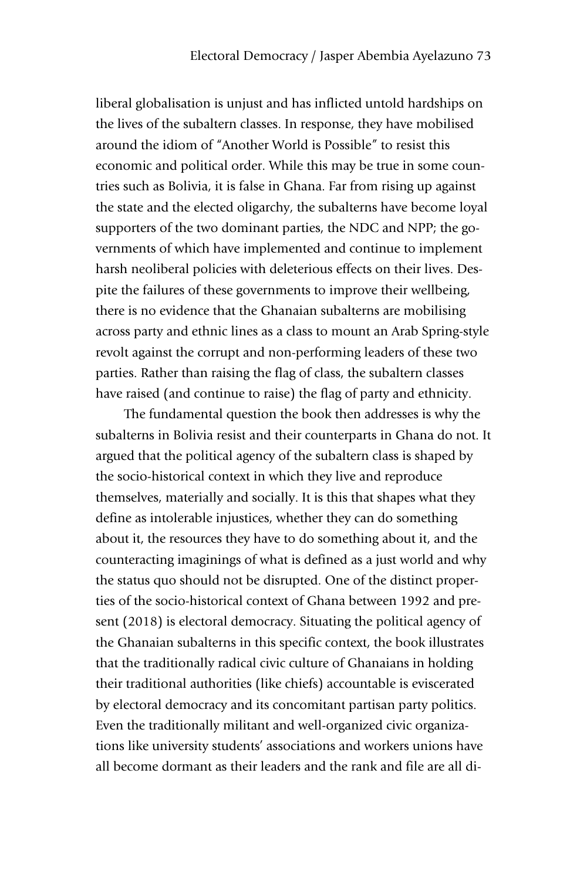liberal globalisation is unjust and has inflicted untold hardships on the lives of the subaltern classes. In response, they have mobilised around the idiom of "Another World is Possible" to resist this economic and political order. While this may be true in some countries such as Bolivia, it is false in Ghana. Far from rising up against the state and the elected oligarchy, the subalterns have become loyal supporters of the two dominant parties, the NDC and NPP; the governments of which have implemented and continue to implement harsh neoliberal policies with deleterious effects on their lives. Despite the failures of these governments to improve their wellbeing, there is no evidence that the Ghanaian subalterns are mobilising across party and ethnic lines as a class to mount an Arab Spring-style revolt against the corrupt and non-performing leaders of these two parties. Rather than raising the flag of class, the subaltern classes have raised (and continue to raise) the flag of party and ethnicity.

The fundamental question the book then addresses is why the subalterns in Bolivia resist and their counterparts in Ghana do not. It argued that the political agency of the subaltern class is shaped by the socio-historical context in which they live and reproduce themselves, materially and socially. It is this that shapes what they define as intolerable injustices, whether they can do something about it, the resources they have to do something about it, and the counteracting imaginings of what is defined as a just world and why the status quo should not be disrupted. One of the distinct properties of the socio-historical context of Ghana between 1992 and present (2018) is electoral democracy. Situating the political agency of the Ghanaian subalterns in this specific context, the book illustrates that the traditionally radical civic culture of Ghanaians in holding their traditional authorities (like chiefs) accountable is eviscerated by electoral democracy and its concomitant partisan party politics. Even the traditionally militant and well-organized civic organizations like university students' associations and workers unions have all become dormant as their leaders and the rank and file are all di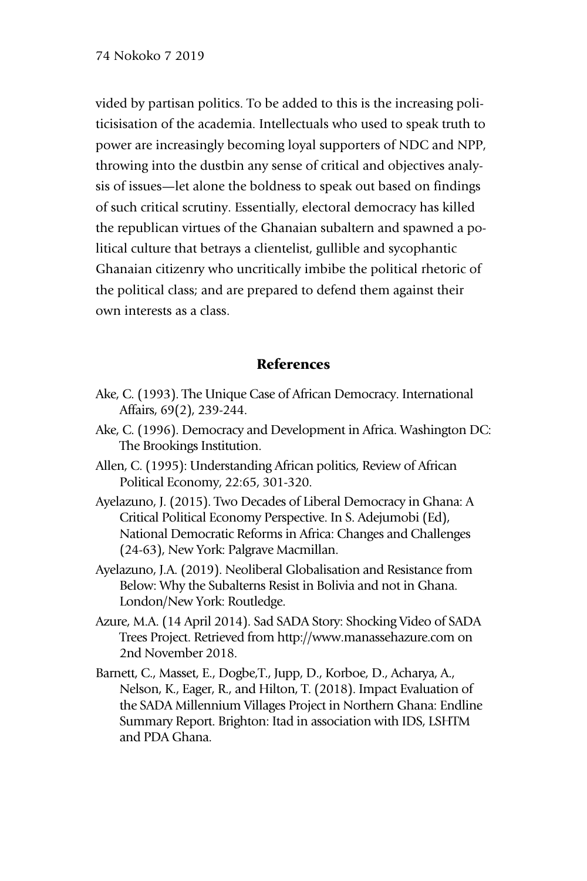vided by partisan politics. To be added to this is the increasing politicisisation of the academia. Intellectuals who used to speak truth to power are increasingly becoming loyal supporters of NDC and NPP, throwing into the dustbin any sense of critical and objectives analysis of issues—let alone the boldness to speak out based on findings of such critical scrutiny. Essentially, electoral democracy has killed the republican virtues of the Ghanaian subaltern and spawned a political culture that betrays a clientelist, gullible and sycophantic Ghanaian citizenry who uncritically imbibe the political rhetoric of the political class; and are prepared to defend them against their own interests as a class.

#### References

- Ake, C. (1993). The Unique Case of African Democracy. International Affairs, 69(2), 239-244.
- Ake, C. (1996). Democracy and Development in Africa. Washington DC: The Brookings Institution.
- Allen, C. (1995): Understanding African politics, Review of African Political Economy, 22:65, 301-320.
- Ayelazuno, J. (2015). Two Decades of Liberal Democracy in Ghana: A Critical Political Economy Perspective. In S. Adejumobi (Ed), National Democratic Reforms in Africa: Changes and Challenges (24-63), New York: Palgrave Macmillan.
- Ayelazuno, J.A. (2019). Neoliberal Globalisation and Resistance from Below: Why the Subalterns Resist in Bolivia and not in Ghana. London/New York: Routledge.
- Azure, M.A. (14 April 2014). Sad SADA Story: Shocking Video of SADA Trees Project. Retrieved from http://www.manassehazure.com on 2nd November 2018.
- Barnett, C., Masset, E., Dogbe,T., Jupp, D., Korboe, D., Acharya, A., Nelson, K., Eager, R., and Hilton, T. (2018). Impact Evaluation of the SADA Millennium Villages Project in Northern Ghana: Endline Summary Report. Brighton: Itad in association with IDS, LSHTM and PDA Ghana.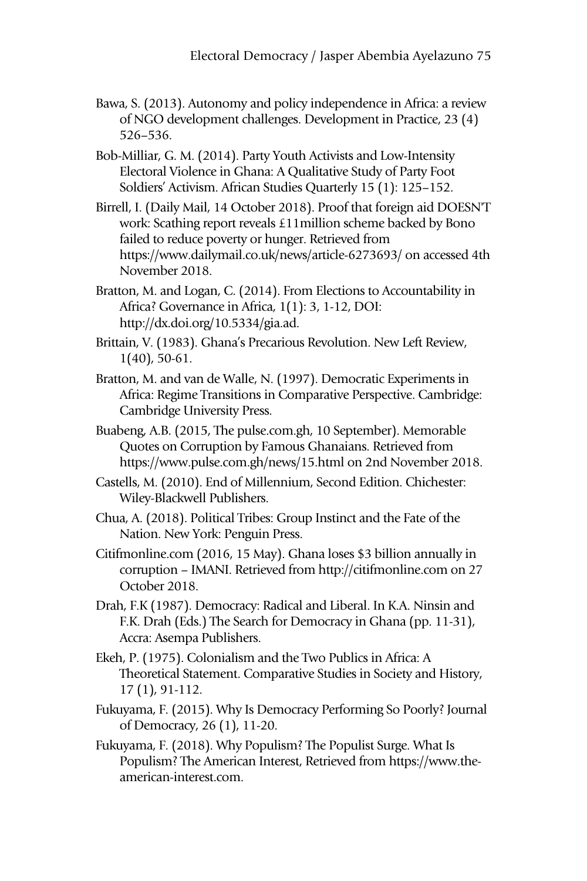Bawa, S. (2013). Autonomy and policy independence in Africa: a review of NGO development challenges. Development in Practice, 23 (4) 526–536.

Bob-Milliar, G. M. (2014). Party Youth Activists and Low-Intensity Electoral Violence in Ghana: A Qualitative Study of Party Foot Soldiers' Activism. African Studies Quarterly 15 (1): 125–152.

- Birrell, I. (Daily Mail, 14 October 2018). Proof that foreign aid DOESN'T work: Scathing report reveals £11million scheme backed by Bono failed to reduce poverty or hunger. Retrieved from https://www.dailymail.co.uk/news/article-6273693/ on accessed 4th November 2018.
- Bratton, M. and Logan, C. (2014). From Elections to Accountability in Africa? Governance in Africa, 1(1): 3, 1-12, DOI: http://dx.doi.org/10.5334/gia.ad.
- Brittain, V. (1983). Ghana's Precarious Revolution. New Left Review, 1(40), 50-61.
- Bratton, M. and van de Walle, N. (1997). Democratic Experiments in Africa: Regime Transitions in Comparative Perspective. Cambridge: Cambridge University Press.
- Buabeng, A.B. (2015, The pulse.com.gh, 10 September). Memorable Quotes on Corruption by Famous Ghanaians. Retrieved from https://www.pulse.com.gh/news/15.html on 2nd November 2018.
- Castells, M. (2010). End of Millennium, Second Edition. Chichester: Wiley-Blackwell Publishers.
- Chua, A. (2018). Political Tribes: Group Instinct and the Fate of the Nation. New York: Penguin Press.
- Citifmonline.com (2016, 15 May). Ghana loses \$3 billion annually in corruption – IMANI. Retrieved from http://citifmonline.com on 27 October 2018.
- Drah, F.K (1987). Democracy: Radical and Liberal. In K.A. Ninsin and F.K. Drah (Eds.) The Search for Democracy in Ghana (pp. 11-31), Accra: Asempa Publishers.
- Ekeh, P. (1975). Colonialism and the Two Publics in Africa: A Theoretical Statement. Comparative Studies in Society and History, 17 (1), 91-112.
- Fukuyama, F. (2015). Why Is Democracy Performing So Poorly? Journal of Democracy, 26 (1), 11-20.
- Fukuyama, F. (2018). Why Populism? The Populist Surge. What Is Populism? The American Interest, Retrieved from https://www.theamerican-interest.com.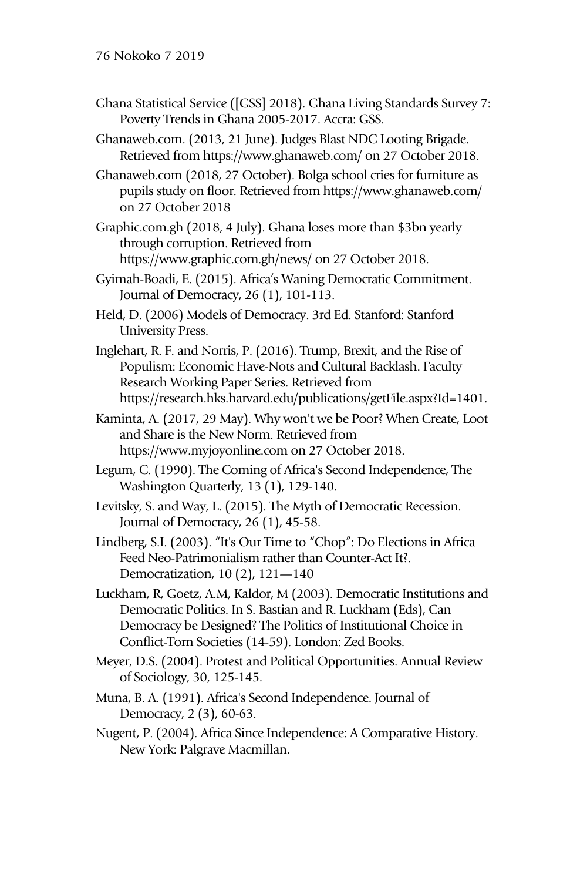- Ghana Statistical Service ([GSS] 2018). Ghana Living Standards Survey 7: Poverty Trends in Ghana 2005-2017. Accra: GSS.
- Ghanaweb.com. (2013, 21 June). Judges Blast NDC Looting Brigade. Retrieved from https://www.ghanaweb.com/ on 27 October 2018.
- Ghanaweb.com (2018, 27 October). Bolga school cries for furniture as pupils study on floor. Retrieved from https://www.ghanaweb.com/ on 27 October 2018
- Graphic.com.gh (2018, 4 July). Ghana loses more than \$3bn yearly through corruption. Retrieved from https://www.graphic.com.gh/news/ on 27 October 2018.
- Gyimah-Boadi, E. (2015). Africa's Waning Democratic Commitment. Journal of Democracy, 26 (1), 101-113.
- Held, D. (2006) Models of Democracy. 3rd Ed. Stanford: Stanford University Press.
- Inglehart, R. F. and Norris, P. (2016). Trump, Brexit, and the Rise of Populism: Economic Have-Nots and Cultural Backlash. Faculty Research Working Paper Series. Retrieved from https://research.hks.harvard.edu/publications/getFile.aspx?Id=1401.
- Kaminta, A. (2017, 29 May). Why won't we be Poor? When Create, Loot and Share is the New Norm. Retrieved from https://www.myjoyonline.com on 27 October 2018.
- Legum, C. (1990). The Coming of Africa's Second Independence, The Washington Quarterly, 13 (1), 129-140.
- Levitsky, S. and Way, L. (2015). The Myth of Democratic Recession. Journal of Democracy, 26 (1), 45-58.
- Lindberg, S.I. (2003). "It's Our Time to "Chop": Do Elections in Africa Feed Neo-Patrimonialism rather than Counter-Act It?. Democratization, 10 (2), 121—140
- Luckham, R, Goetz, A.M, Kaldor, M (2003). Democratic Institutions and Democratic Politics. In S. Bastian and R. Luckham (Eds), Can Democracy be Designed? The Politics of Institutional Choice in Conflict-Torn Societies (14-59). London: Zed Books.
- Meyer, D.S. (2004). Protest and Political Opportunities. Annual Review of Sociology, 30, 125-145.
- Muna, B. A. (1991). Africa's Second Independence. Journal of Democracy, 2 (3), 60-63.
- Nugent, P. (2004). Africa Since Independence: A Comparative History. New York: Palgrave Macmillan.